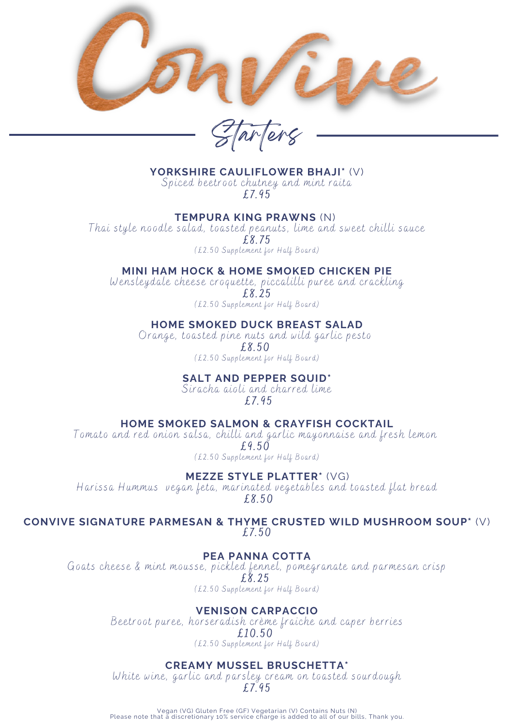

arlers

**YORKSHIRE CAULIFLOWER BHAJI\*** (V)

Spiced beetroot chutney and mint raita £7.95

### **TEMPURA KING PRAWNS** (N)

Thai style noodle salad, toasted peanuts, lime and sweet chilli sauce £8.75 (£2.50 Supplement for Half Board)

# **MINI HAM HOCK & HOME SMOKED CHICKEN PIE**

Wensleydale cheese croquette, piccalilli puree and crackling

£8.25

(£2.50 Supplement for Half Board)

# **HOME SMOKED DUCK BREAST SALAD**

Orange, toasted pine nuts and wild garlic pesto £8.50 (£2.50 Supplement for Half Board)

# **SALT AND PEPPER SQUID\***

Siracha aioli and charred lime £7.95

# **HOME SMOKED SALMON & CRAYFISH COCKTAIL**

Tomato and red onion salsa, chilli and garlic mayonnaise and fresh lemon £9.50 (£2.50 Supplement for Half Board)

**MEZZE STYLE PLATTER\*** (VG)

Harissa Hummus vegan feta, marinated vegetables and toasted flat bread £8.50

**CONVIVE SIGNATURE PARMESAN & THYME CRUSTED WILD MUSHROOM SOUP\*** (V) £7.50

#### **PEA PANNA COTTA**

Goats cheese & mint mousse, pickled fennel, pomegranate and parmesan crisp £8.25 (£2.50 Supplement for Half Board)

# **VENISON CARPACCIO**

Beetroot puree, horseradish crème fraiche and caper berries £10.50 (£2.50 Supplement for Half Board)

# **CREAMY MUSSEL BRUSCHETTA\***

White wine, garlic and parsley cream on toasted sourdough £7.95

Vegan (VG) Gluten Free (GF) Vegetarian (V) Contains Nuts (N) Please note that a discretionary 10% service charge is added to all of our bills, Thank you.